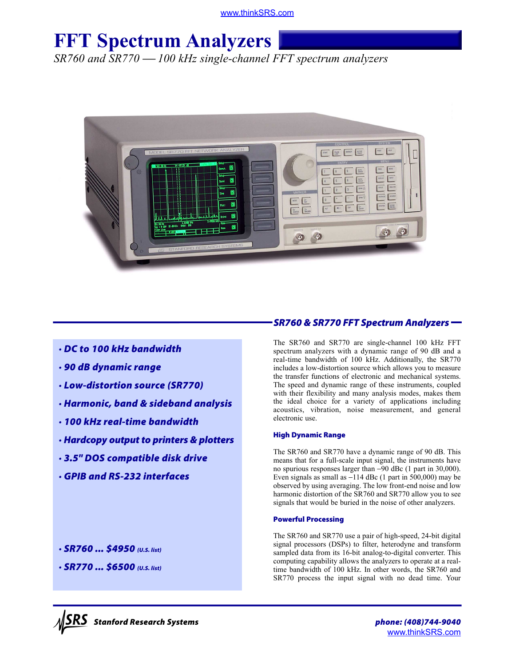[www.thinkSRS.com](http://thinksrs.com)

# **FFT Spectrum Analyzers**

*SR760 and SR770 100 kHz single-channel FFT spectrum analyzers*



## *· DC to 100 kHz bandwidth*

- *· 90 dB dynamic range*
- *· Low-distortion source (SR770)*
- *· Harmonic, band & sideband analysis*
- *· 100 kHz real-time bandwidth*
- *· Hardcopy output to printers & plotters*
- *· 3.5" DOS compatible disk drive*
- *· GPIB and RS-232 interfaces*

### *· SR760 ... \$4950 (U.S. list)*

*· SR770 ... \$6500 (U.S. list)*

# *SR760 & SR770 FFT Spectrum Analyzers*

The SR760 and SR770 are single-channel 100 kHz FFT spectrum analyzers with a dynamic range of 90 dB and a real-time bandwidth of 100 kHz. Additionally, the SR770 includes a low-distortion source which allows you to measure the transfer functions of electronic and mechanical systems. The speed and dynamic range of these instruments, coupled with their flexibility and many analysis modes, makes them the ideal choice for a variety of applications including acoustics, vibration, noise measurement, and general electronic use.

#### **High Dynamic Range**

The SR760 and SR770 have a dynamic range of 90 dB. This means that for a full-scale input signal, the instruments have no spurious responses larger than −90 dBc (1 part in 30,000). Even signals as small as −114 dBc (1 part in 500,000) may be observed by using averaging. The low front-end noise and low harmonic distortion of the SR760 and SR770 allow you to see signals that would be buried in the noise of other analyzers.

#### **Powerful Processing**

The SR760 and SR770 use a pair of high-speed, 24-bit digital signal processors (DSPs) to filter, heterodyne and transform sampled data from its 16-bit analog-to-digital converter. This computing capability allows the analyzers to operate at a realtime bandwidth of 100 kHz. In other words, the SR760 and SR770 process the input signal with no dead time. Your

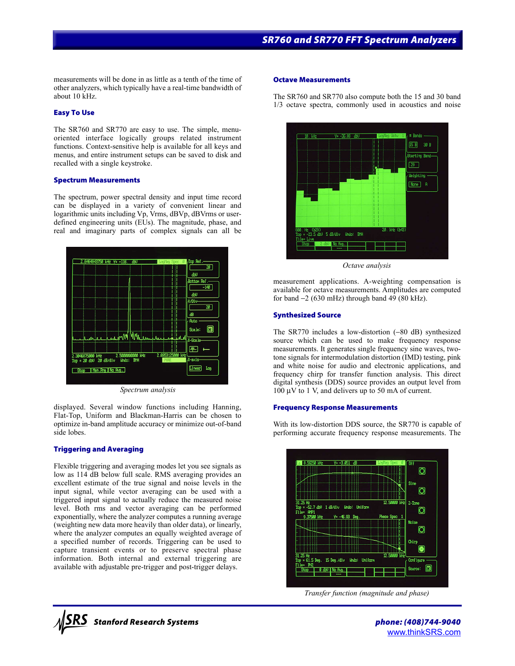measurements will be done in as little as a tenth of the time of other analyzers, which typically have a real-time bandwidth of about 10 kHz.

#### **Easy To Use**

The SR760 and SR770 are easy to use. The simple, menuoriented interface logically groups related instrument functions. Context-sensitive help is available for all keys and menus, and entire instrument setups can be saved to disk and recalled with a single keystroke.

#### **Spectrum Measurements**

The spectrum, power spectral density and input time record can be displayed in a variety of convenient linear and logarithmic units including Vp, Vrms, dBVp, dBVrms or userdefined engineering units (EUs). The magnitude, phase, and real and imaginary parts of complex signals can all be



*Spectrum analysis*

displayed. Several window functions including Hanning, Flat-Top, Uniform and Blackman-Harris can be chosen to optimize in-band amplitude accuracy or minimize out-of-band side lobes.

#### **Triggering and Averaging**

Flexible triggering and averaging modes let you see signals as low as 114 dB below full scale. RMS averaging provides an excellent estimate of the true signal and noise levels in the input signal, while vector averaging can be used with a triggered input signal to actually reduce the measured noise level. Both rms and vector averaging can be performed exponentially, where the analyzer computes a running average (weighting new data more heavily than older data), or linearly, where the analyzer computes an equally weighted average of a specified number of records. Triggering can be used to capture transient events or to preserve spectral phase information. Both internal and external triggering are available with adjustable pre-trigger and post-trigger delays.

#### **Octave Measurements**

The SR760 and SR770 also compute both the 15 and 30 band 1/3 octave spectra, commonly used in acoustics and noise



*Octave analysis*

measurement applications. A-weighting compensation is available for octave measurements. Amplitudes are computed for band −2 (630 mHz) through band 49 (80 kHz).

#### **Synthesized Source**

The SR770 includes a low-distortion (−80 dB) synthesized source which can be used to make frequency response measurements. It generates single frequency sine waves, twotone signals for intermodulation distortion (IMD) testing, pink and white noise for audio and electronic applications, and frequency chirp for transfer function analysis. This direct digital synthesis (DDS) source provides an output level from  $100 \mu V$  to 1 V, and delivers up to 50 mA of current.

#### **Frequency Response Measurements**

With its low-distortion DDS source, the SR770 is capable of performing accurate frequency response measurements. The



*Transfer function (magnitude and phase)*

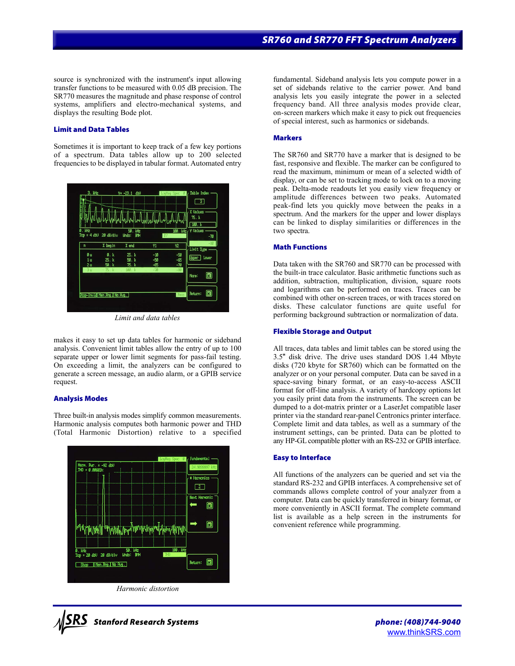source is synchronized with the instrument's input allowing transfer functions to be measured with 0.05 dB precision. The SR770 measures the magnitude and phase response of control systems, amplifiers and electro-mechanical systems, and displays the resulting Bode plot.

#### **Limit and Data Tables**

Sometimes it is important to keep track of a few key portions of a spectrum. Data tables allow up to 200 selected frequencies to be displayed in tabular format. Automated entry



*Limit and data tables*

makes it easy to set up data tables for harmonic or sideband analysis. Convenient limit tables allow the entry of up to 100 separate upper or lower limit segments for pass-fail testing. On exceeding a limit, the analyzers can be configured to generate a screen message, an audio alarm, or a GPIB service request.

#### **Analysis Modes**

Three built-in analysis modes simplify common measurements. Harmonic analysis computes both harmonic power and THD (Total Harmonic Distortion) relative to a specified



*Harmonic distortion*



fundamental. Sideband analysis lets you compute power in a set of sidebands relative to the carrier power. And band analysis lets you easily integrate the power in a selected frequency band. All three analysis modes provide clear, on-screen markers which make it easy to pick out frequencies of special interest, such as harmonics or sidebands.

#### **Markers**

The SR760 and SR770 have a marker that is designed to be fast, responsive and flexible. The marker can be configured to read the maximum, minimum or mean of a selected width of display, or can be set to tracking mode to lock on to a moving peak. Delta-mode readouts let you easily view frequency or amplitude differences between two peaks. Automated peak-find lets you quickly move between the peaks in a spectrum. And the markers for the upper and lower displays can be linked to display similarities or differences in the two spectra.

#### **Math Functions**

Data taken with the SR760 and SR770 can be processed with the built-in trace calculator. Basic arithmetic functions such as addition, subtraction, multiplication, division, square roots and logarithms can be performed on traces. Traces can be combined with other on-screen traces, or with traces stored on disks. These calculator functions are quite useful for performing background subtraction or normalization of data.

#### **Flexible Storage and Output**

All traces, data tables and limit tables can be stored using the 3.5" disk drive. The drive uses standard DOS 1.44 Mbyte disks (720 kbyte for SR760) which can be formatted on the analyzer or on your personal computer. Data can be saved in a space-saving binary format, or an easy-to-access ASCII format for off-line analysis. A variety of hardcopy options let you easily print data from the instruments. The screen can be dumped to a dot-matrix printer or a LaserJet compatible laser printer via the standard rear-panel Centronics printer interface. Complete limit and data tables, as well as a summary of the instrument settings, can be printed. Data can be plotted to any HP-GL compatible plotter with an RS-232 or GPIB interface.

#### **Easy to Interface**

All functions of the analyzers can be queried and set via the standard RS-232 and GPIB interfaces. A comprehensive set of commands allows complete control of your analyzer from a computer. Data can be quickly transferred in binary format, or more conveniently in ASCII format. The complete command list is available as a help screen in the instruments for convenient reference while programming.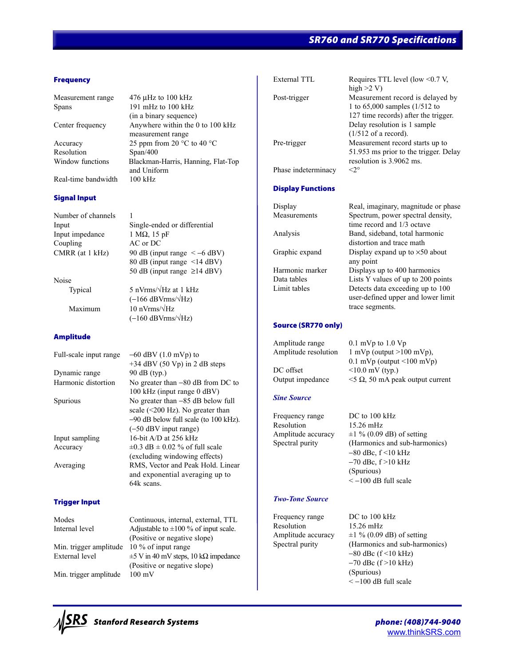# *SR760 and SR770 Specifications*

#### **Frequency**

Measurement range 476 µHz to 100 kHz

Resolution Span/400

Real-time bandwidth 100 kHz

#### **Signal Input**

Number of channels 1 Input impedance  $1 M\Omega$ , 15 pF Coupling AC or DC

Noise

#### **Amplitude**

Full-scale input range  $-60$  dBV (1.0 mVp) to  $+34$  dBV (50 Vp) in 2 dB steps Dynamic range 90 dB (typ.) Harmonic distortion No greater than −80 dB from DC to 100 kHz (input range 0 dBV) Spurious No greater than −85 dB below full (−50 dBV input range) Input sampling 16-bit A/D at 256 kHz Accuracy  $\pm 0.3$  dB  $\pm 0.02$  % of full scale (excluding windowing effects) Averaging RMS, Vector and Peak Hold. Linear 64k scans.

#### **Trigger Input**

Min. trigger amplitude 10 % of input range

Min. trigger amplitude 100 mV

Spans 191 mHz to 100 kHz (in a binary sequence) Center frequency Anywhere within the 0 to 100 kHz measurement range Accuracy 25 ppm from 20 °C to 40 °C Window functions Blackman-Harris, Hanning, Flat-Top and Uniform

Input Single-ended or differential CMRR (at 1 kHz) 90 dB (input range  $\le -6$  dBV) 80 dB (input range <14 dBV) 50 dB (input range ≥14 dBV)

Typical 5 nVrms/√Hz at 1 kHz  $(-166$  dBVrms/ $\sqrt{Hz}$ ) Maximum  $10 \text{ nV}$ rms/ $\sqrt{Hz}$  $(-160$  dBVrms/ $\sqrt{Hz}$ )

> scale (<200 Hz). No greater than −90 dB below full scale (to 100 kHz). and exponential averaging up to

Modes Continuous, internal, external, TTL Internal level  $\qquad \qquad$  Adjustable to  $\pm 100 \%$  of input scale. (Positive or negative slope) External level  $±5$  V in 40 mV steps, 10 kΩ impedance (Positive or negative slope)

| External TTL        | Requires TTL level (low $\leq 0.7$ V, |
|---------------------|---------------------------------------|
|                     | high $>2$ V)                          |
| Post-trigger        | Measurement record is delayed by      |
|                     | 1 to $65,000$ samples $(1/512)$ to    |
|                     | 127 time records) after the trigger.  |
|                     | Delay resolution is 1 sample          |
|                     | $(1/512 \text{ of a record}).$        |
| Pre-trigger         | Measurement record starts up to       |
|                     | 51.953 ms prior to the trigger. Delay |
|                     | resolution is 3.9062 ms.              |
| Phase indeterminacy | ∘?>                                   |
|                     |                                       |

#### **Display Functions**

| Display         | Real, imaginary, magnitude or phase    |  |
|-----------------|----------------------------------------|--|
| Measurements    | Spectrum, power spectral density,      |  |
|                 | time record and 1/3 octave             |  |
| Analysis        | Band, sideband, total harmonic         |  |
|                 | distortion and trace math              |  |
| Graphic expand  | Display expand up to $\times 50$ about |  |
|                 | any point                              |  |
| Harmonic marker | Displays up to 400 harmonics           |  |
| Data tables     | Lists Y values of up to 200 points     |  |
| Limit tables    | Detects data exceeding up to 100       |  |
|                 | user-defined upper and lower limit     |  |
|                 | trace segments.                        |  |

#### **Source (SR770 only)**

Amplitude range 0.1 mVp to 1.0 Vp Amplitude resolution 1 mVp (output  $>100$  mVp),  $DC$  offset  $\leq 10.0$  mV (typ.)

 $0.1 \text{ mVp}$  (output  $\leq 100 \text{ mVp}$ ) Output impedance  $\leq 5 \Omega$ , 50 mA peak output current

#### *Sine Source*

Frequency range DC to 100 kHz Resolution 15.26 mHz

Amplitude accuracy  $\pm 1 \%$  (0.09 dB) of setting Spectral purity (Harmonics and sub-harmonics) −80 dBc, f <10 kHz −70 dBc, f >10 kHz (Spurious)  $<-100$  dB full scale

#### *Two-Tone Source*

Frequency range DC to 100 kHz Resolution 15.26 mHz

Amplitude accuracy  $\pm 1 \% (0.09 \text{ dB})$  of setting Spectral purity (Harmonics and sub-harmonics) −80 dBc (f <10 kHz) −70 dBc (f >10 kHz) (Spurious) < −100 dB full scale